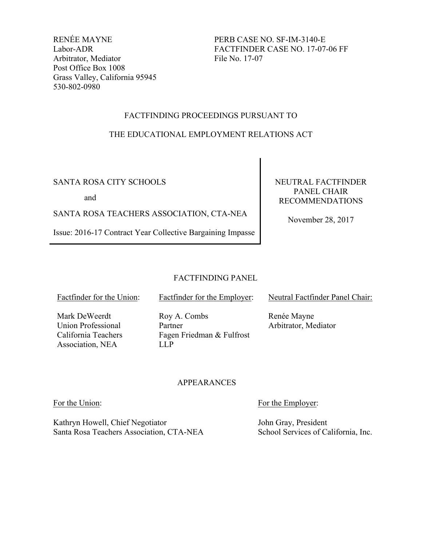RENÉE MAYNE Labor-ADR Arbitrator, Mediator Post Office Box 1008 Grass Valley, California 95945 530-802-0980

PERB CASE NO. SF-IM-3140-E FACTFINDER CASE NO. 17-07-06 FF File No. 17-07

# FACTFINDING PROCEEDINGS PURSUANT TO

# THE EDUCATIONAL EMPLOYMENT RELATIONS ACT

# SANTA ROSA CITY SCHOOLS

and

SANTA ROSA TEACHERS ASSOCIATION, CTA-NEA

Issue: 2016-17 Contract Year Collective Bargaining Impasse

NEUTRAL FACTFINDER PANEL CHAIR RECOMMENDATIONS

November 28, 2017

# FACTFINDING PANEL

Factfinder for the Union:

Mark DeWeerdt Union Professional California Teachers Association, NEA

Factfinder for the Employer:

Roy A. Combs Partner Fagen Friedman & Fulfrost LLP

Neutral Factfinder Panel Chair:

Renée Mayne Arbitrator, Mediator

# APPEARANCES

Kathryn Howell, Chief Negotiator Santa Rosa Teachers Association, CTA-NEA

For the Union: For the Employer:

John Gray, President School Services of California, Inc.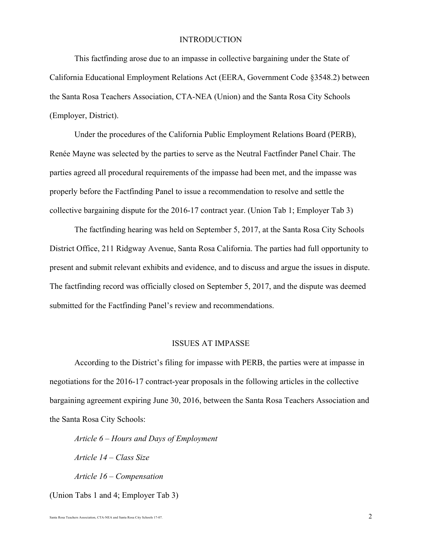#### **INTRODUCTION**

This factfinding arose due to an impasse in collective bargaining under the State of California Educational Employment Relations Act (EERA, Government Code §3548.2) between the Santa Rosa Teachers Association, CTA-NEA (Union) and the Santa Rosa City Schools (Employer, District).

Under the procedures of the California Public Employment Relations Board (PERB), Renée Mayne was selected by the parties to serve as the Neutral Factfinder Panel Chair. The parties agreed all procedural requirements of the impasse had been met, and the impasse was properly before the Factfinding Panel to issue a recommendation to resolve and settle the collective bargaining dispute for the 2016-17 contract year. (Union Tab 1; Employer Tab 3)

The factfinding hearing was held on September 5, 2017, at the Santa Rosa City Schools District Office, 211 Ridgway Avenue, Santa Rosa California. The parties had full opportunity to present and submit relevant exhibits and evidence, and to discuss and argue the issues in dispute. The factfinding record was officially closed on September 5, 2017, and the dispute was deemed submitted for the Factfinding Panel's review and recommendations.

#### ISSUES AT IMPASSE

According to the District's filing for impasse with PERB, the parties were at impasse in negotiations for the 2016-17 contract-year proposals in the following articles in the collective bargaining agreement expiring June 30, 2016, between the Santa Rosa Teachers Association and the Santa Rosa City Schools:

*Article 6* – *Hours and Days of Employment Article 14 – Class Size Article 16 – Compensation* (Union Tabs 1 and 4; Employer Tab 3)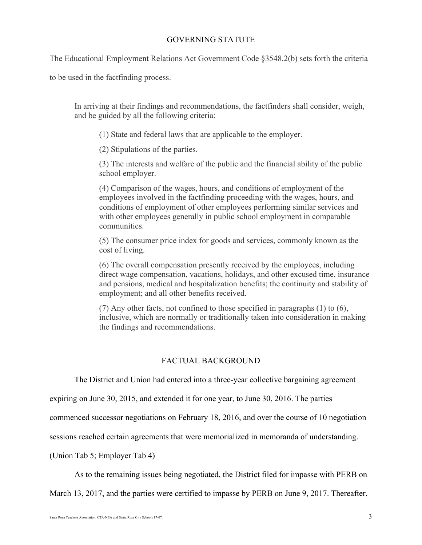# GOVERNING STATUTE

The Educational Employment Relations Act Government Code §3548.2(b) sets forth the criteria

to be used in the factfinding process.

In arriving at their findings and recommendations, the factfinders shall consider, weigh, and be guided by all the following criteria:

(1) State and federal laws that are applicable to the employer.

(2) Stipulations of the parties.

(3) The interests and welfare of the public and the financial ability of the public school employer.

(4) Comparison of the wages, hours, and conditions of employment of the employees involved in the factfinding proceeding with the wages, hours, and conditions of employment of other employees performing similar services and with other employees generally in public school employment in comparable communities.

(5) The consumer price index for goods and services, commonly known as the cost of living.

(6) The overall compensation presently received by the employees, including direct wage compensation, vacations, holidays, and other excused time, insurance and pensions, medical and hospitalization benefits; the continuity and stability of employment; and all other benefits received.

(7) Any other facts, not confined to those specified in paragraphs (1) to (6), inclusive, which are normally or traditionally taken into consideration in making the findings and recommendations.

# FACTUAL BACKGROUND

The District and Union had entered into a three-year collective bargaining agreement

expiring on June 30, 2015, and extended it for one year, to June 30, 2016. The parties

commenced successor negotiations on February 18, 2016, and over the course of 10 negotiation

sessions reached certain agreements that were memorialized in memoranda of understanding.

(Union Tab 5; Employer Tab 4)

As to the remaining issues being negotiated, the District filed for impasse with PERB on

March 13, 2017, and the parties were certified to impasse by PERB on June 9, 2017. Thereafter,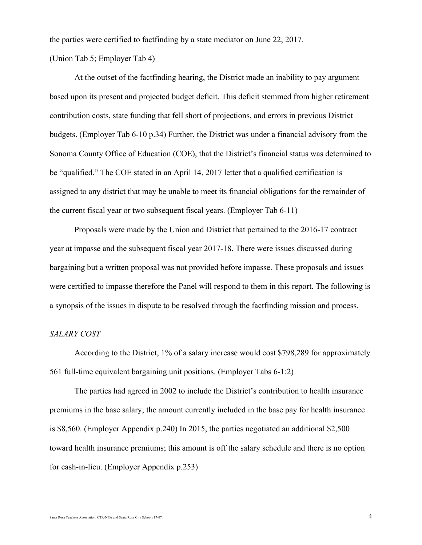the parties were certified to factfinding by a state mediator on June 22, 2017.

(Union Tab 5; Employer Tab 4)

At the outset of the factfinding hearing, the District made an inability to pay argument based upon its present and projected budget deficit. This deficit stemmed from higher retirement contribution costs, state funding that fell short of projections, and errors in previous District budgets. (Employer Tab 6-10 p.34) Further, the District was under a financial advisory from the Sonoma County Office of Education (COE), that the District's financial status was determined to be "qualified." The COE stated in an April 14, 2017 letter that a qualified certification is assigned to any district that may be unable to meet its financial obligations for the remainder of the current fiscal year or two subsequent fiscal years. (Employer Tab 6-11)

Proposals were made by the Union and District that pertained to the 2016-17 contract year at impasse and the subsequent fiscal year 2017-18. There were issues discussed during bargaining but a written proposal was not provided before impasse. These proposals and issues were certified to impasse therefore the Panel will respond to them in this report. The following is a synopsis of the issues in dispute to be resolved through the factfinding mission and process.

## *SALARY COST*

According to the District, 1% of a salary increase would cost \$798,289 for approximately 561 full-time equivalent bargaining unit positions. (Employer Tabs 6-1:2)

The parties had agreed in 2002 to include the District's contribution to health insurance premiums in the base salary; the amount currently included in the base pay for health insurance is \$8,560. (Employer Appendix p.240) In 2015, the parties negotiated an additional \$2,500 toward health insurance premiums; this amount is off the salary schedule and there is no option for cash-in-lieu. (Employer Appendix p.253)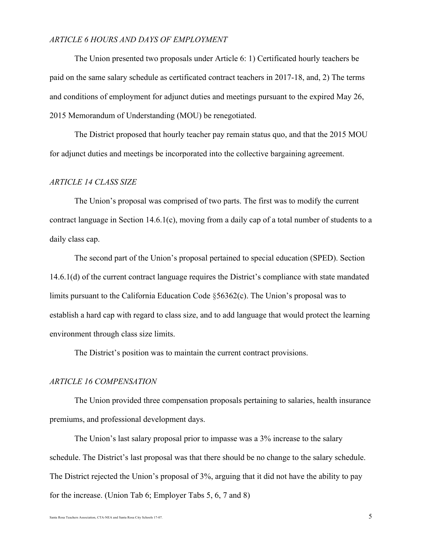# *ARTICLE 6 HOURS AND DAYS OF EMPLOYMENT*

The Union presented two proposals under Article 6: 1) Certificated hourly teachers be paid on the same salary schedule as certificated contract teachers in 2017-18, and, 2) The terms and conditions of employment for adjunct duties and meetings pursuant to the expired May 26, 2015 Memorandum of Understanding (MOU) be renegotiated.

The District proposed that hourly teacher pay remain status quo, and that the 2015 MOU for adjunct duties and meetings be incorporated into the collective bargaining agreement.

## *ARTICLE 14 CLASS SIZE*

The Union's proposal was comprised of two parts. The first was to modify the current contract language in Section 14.6.1(c), moving from a daily cap of a total number of students to a daily class cap.

The second part of the Union's proposal pertained to special education (SPED). Section 14.6.1(d) of the current contract language requires the District's compliance with state mandated limits pursuant to the California Education Code §56362(c). The Union's proposal was to establish a hard cap with regard to class size, and to add language that would protect the learning environment through class size limits.

The District's position was to maintain the current contract provisions.

#### *ARTICLE 16 COMPENSATION*

The Union provided three compensation proposals pertaining to salaries, health insurance premiums, and professional development days.

The Union's last salary proposal prior to impasse was a 3% increase to the salary schedule. The District's last proposal was that there should be no change to the salary schedule. The District rejected the Union's proposal of 3%, arguing that it did not have the ability to pay for the increase. (Union Tab 6; Employer Tabs 5, 6, 7 and 8)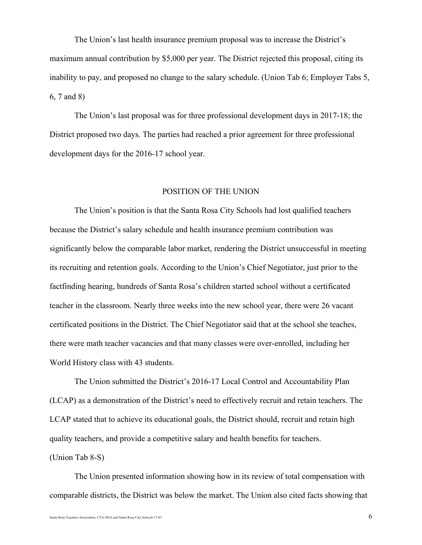The Union's last health insurance premium proposal was to increase the District's maximum annual contribution by \$5,000 per year. The District rejected this proposal, citing its inability to pay, and proposed no change to the salary schedule. (Union Tab 6; Employer Tabs 5, 6, 7 and 8)

The Union's last proposal was for three professional development days in 2017-18; the District proposed two days. The parties had reached a prior agreement for three professional development days for the 2016-17 school year.

#### POSITION OF THE UNION

The Union's position is that the Santa Rosa City Schools had lost qualified teachers because the District's salary schedule and health insurance premium contribution was significantly below the comparable labor market, rendering the District unsuccessful in meeting its recruiting and retention goals. According to the Union's Chief Negotiator, just prior to the factfinding hearing, hundreds of Santa Rosa's children started school without a certificated teacher in the classroom. Nearly three weeks into the new school year, there were 26 vacant certificated positions in the District. The Chief Negotiator said that at the school she teaches, there were math teacher vacancies and that many classes were over-enrolled, including her World History class with 43 students.

The Union submitted the District's 2016-17 Local Control and Accountability Plan (LCAP) as a demonstration of the District's need to effectively recruit and retain teachers. The LCAP stated that to achieve its educational goals, the District should, recruit and retain high quality teachers, and provide a competitive salary and health benefits for teachers. (Union Tab 8-S)

The Union presented information showing how in its review of total compensation with comparable districts, the District was below the market. The Union also cited facts showing that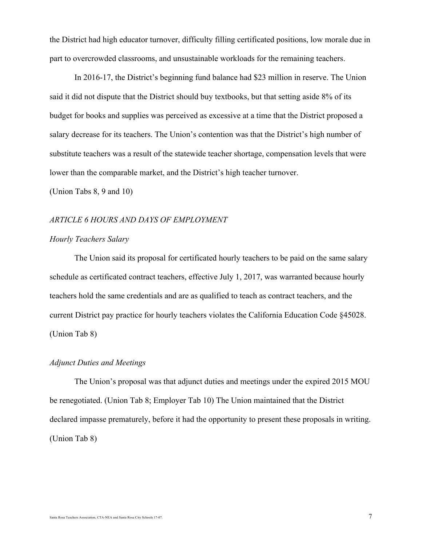the District had high educator turnover, difficulty filling certificated positions, low morale due in part to overcrowded classrooms, and unsustainable workloads for the remaining teachers.

In 2016-17, the District's beginning fund balance had \$23 million in reserve. The Union said it did not dispute that the District should buy textbooks, but that setting aside 8% of its budget for books and supplies was perceived as excessive at a time that the District proposed a salary decrease for its teachers. The Union's contention was that the District's high number of substitute teachers was a result of the statewide teacher shortage, compensation levels that were lower than the comparable market, and the District's high teacher turnover.

(Union Tabs 8, 9 and 10)

## *ARTICLE 6 HOURS AND DAYS OF EMPLOYMENT*

# *Hourly Teachers Salary*

The Union said its proposal for certificated hourly teachers to be paid on the same salary schedule as certificated contract teachers, effective July 1, 2017, was warranted because hourly teachers hold the same credentials and are as qualified to teach as contract teachers, and the current District pay practice for hourly teachers violates the California Education Code §45028. (Union Tab 8)

#### *Adjunct Duties and Meetings*

The Union's proposal was that adjunct duties and meetings under the expired 2015 MOU be renegotiated. (Union Tab 8; Employer Tab 10) The Union maintained that the District declared impasse prematurely, before it had the opportunity to present these proposals in writing. (Union Tab 8)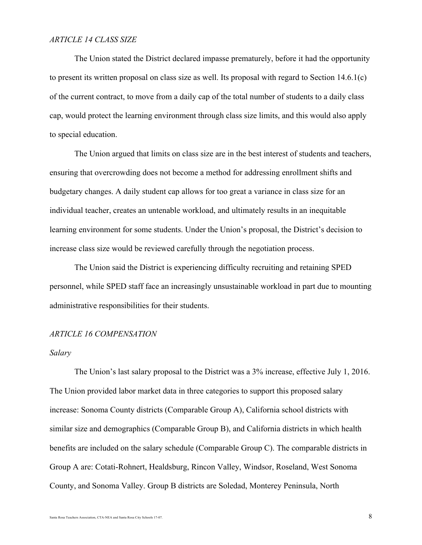#### *ARTICLE 14 CLASS SIZE*

The Union stated the District declared impasse prematurely, before it had the opportunity to present its written proposal on class size as well. Its proposal with regard to Section 14.6.1(c) of the current contract, to move from a daily cap of the total number of students to a daily class cap, would protect the learning environment through class size limits, and this would also apply to special education.

The Union argued that limits on class size are in the best interest of students and teachers, ensuring that overcrowding does not become a method for addressing enrollment shifts and budgetary changes. A daily student cap allows for too great a variance in class size for an individual teacher, creates an untenable workload, and ultimately results in an inequitable learning environment for some students. Under the Union's proposal, the District's decision to increase class size would be reviewed carefully through the negotiation process.

The Union said the District is experiencing difficulty recruiting and retaining SPED personnel, while SPED staff face an increasingly unsustainable workload in part due to mounting administrative responsibilities for their students.

## *ARTICLE 16 COMPENSATION*

## *Salary*

The Union's last salary proposal to the District was a 3% increase, effective July 1, 2016. The Union provided labor market data in three categories to support this proposed salary increase: Sonoma County districts (Comparable Group A), California school districts with similar size and demographics (Comparable Group B), and California districts in which health benefits are included on the salary schedule (Comparable Group C). The comparable districts in Group A are: Cotati-Rohnert, Healdsburg, Rincon Valley, Windsor, Roseland, West Sonoma County, and Sonoma Valley. Group B districts are Soledad, Monterey Peninsula, North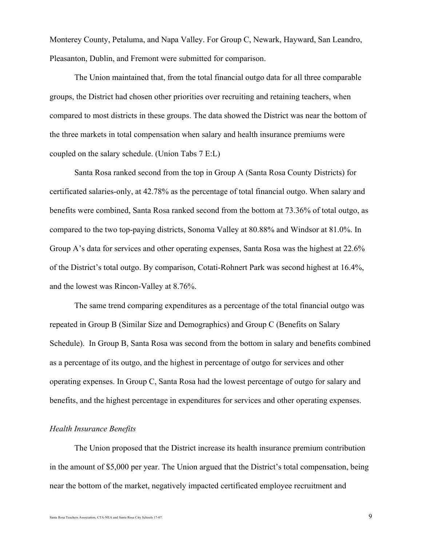Monterey County, Petaluma, and Napa Valley. For Group C, Newark, Hayward, San Leandro, Pleasanton, Dublin, and Fremont were submitted for comparison.

The Union maintained that, from the total financial outgo data for all three comparable groups, the District had chosen other priorities over recruiting and retaining teachers, when compared to most districts in these groups. The data showed the District was near the bottom of the three markets in total compensation when salary and health insurance premiums were coupled on the salary schedule. (Union Tabs 7 E:L)

Santa Rosa ranked second from the top in Group A (Santa Rosa County Districts) for certificated salaries-only, at 42.78% as the percentage of total financial outgo. When salary and benefits were combined, Santa Rosa ranked second from the bottom at 73.36% of total outgo, as compared to the two top-paying districts, Sonoma Valley at 80.88% and Windsor at 81.0%. In Group A's data for services and other operating expenses, Santa Rosa was the highest at 22.6% of the District's total outgo. By comparison, Cotati-Rohnert Park was second highest at 16.4%, and the lowest was Rincon-Valley at 8.76%.

The same trend comparing expenditures as a percentage of the total financial outgo was repeated in Group B (Similar Size and Demographics) and Group C (Benefits on Salary Schedule). In Group B, Santa Rosa was second from the bottom in salary and benefits combined as a percentage of its outgo, and the highest in percentage of outgo for services and other operating expenses. In Group C, Santa Rosa had the lowest percentage of outgo for salary and benefits, and the highest percentage in expenditures for services and other operating expenses.

## *Health Insurance Benefits*

The Union proposed that the District increase its health insurance premium contribution in the amount of \$5,000 per year. The Union argued that the District's total compensation, being near the bottom of the market, negatively impacted certificated employee recruitment and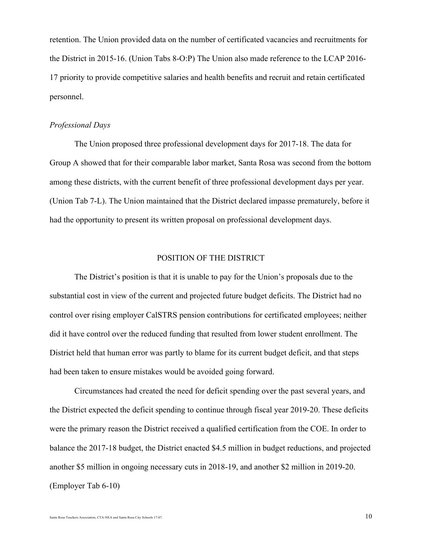retention. The Union provided data on the number of certificated vacancies and recruitments for the District in 2015-16. (Union Tabs 8-O:P) The Union also made reference to the LCAP 2016- 17 priority to provide competitive salaries and health benefits and recruit and retain certificated personnel.

# *Professional Days*

The Union proposed three professional development days for 2017-18. The data for Group A showed that for their comparable labor market, Santa Rosa was second from the bottom among these districts, with the current benefit of three professional development days per year. (Union Tab 7-L). The Union maintained that the District declared impasse prematurely, before it had the opportunity to present its written proposal on professional development days.

## POSITION OF THE DISTRICT

The District's position is that it is unable to pay for the Union's proposals due to the substantial cost in view of the current and projected future budget deficits. The District had no control over rising employer CalSTRS pension contributions for certificated employees; neither did it have control over the reduced funding that resulted from lower student enrollment. The District held that human error was partly to blame for its current budget deficit, and that steps had been taken to ensure mistakes would be avoided going forward.

Circumstances had created the need for deficit spending over the past several years, and the District expected the deficit spending to continue through fiscal year 2019-20. These deficits were the primary reason the District received a qualified certification from the COE. In order to balance the 2017-18 budget, the District enacted \$4.5 million in budget reductions, and projected another \$5 million in ongoing necessary cuts in 2018-19, and another \$2 million in 2019-20. (Employer Tab 6-10)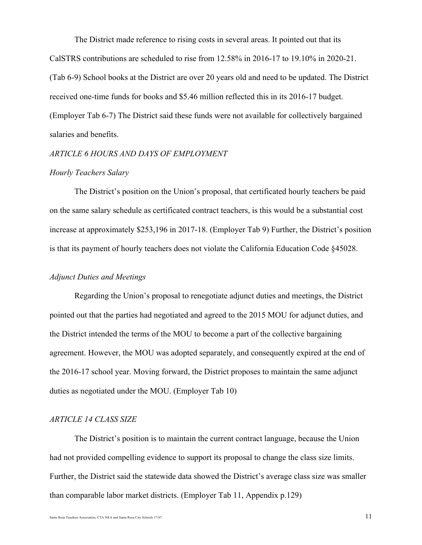The District made reference to rising costs in several areas. It pointed out that its CalSTRS contributions are scheduled to rise from 12.58% in 2016-17 to 19.10% in 2020-21. (Tab 6-9) School books at the District are over 20 years old and need to be updated. The District received one-time funds for books and \$5.46 million reflected this in its 2016-17 budget. (Employer Tab 6-7) The District said these funds were not available for collectively bargained salaries and benefits.

## *ARTICLE 6 HOURS AND DAYS OF EMPLOYMENT*

## *Hourly Teachers Salary*

The District's position on the Union's proposal, that certificated hourly teachers be paid on the same salary schedule as certificated contract teachers, is this would be a substantial cost increase at approximately \$253,196 in 2017-18. (Employer Tab 9) Further, the District's position is that its payment of hourly teachers does not violate the California Education Code §45028.

## *Adjunct Duties and Meetings*

Regarding the Union's proposal to renegotiate adjunct duties and meetings, the District pointed out that the parties had negotiated and agreed to the 2015 MOU for adjunct duties, and the District intended the terms of the MOU to become a part of the collective bargaining agreement. However, the MOU was adopted separately, and consequently expired at the end of the 2016-17 school year. Moving forward, the District proposes to maintain the same adjunct duties as negotiated under the MOU. (Employer Tab 10)

#### *ARTICLE 14 CLASS SIZE*

The District's position is to maintain the current contract language, because the Union had not provided compelling evidence to support its proposal to change the class size limits. Further, the District said the statewide data showed the District's average class size was smaller than comparable labor market districts. (Employer Tab 11, Appendix p.129)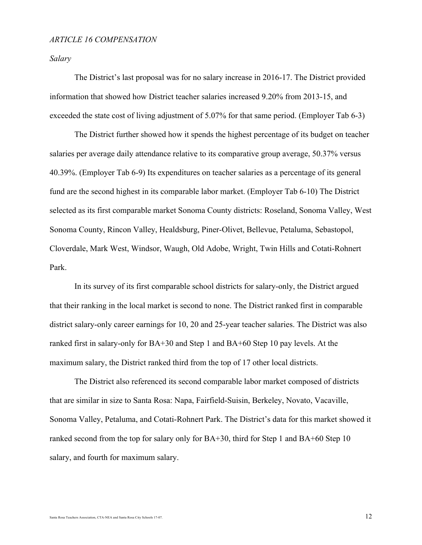#### *ARTICLE 16 COMPENSATION*

*Salary*

The District's last proposal was for no salary increase in 2016-17. The District provided information that showed how District teacher salaries increased 9.20% from 2013-15, and exceeded the state cost of living adjustment of 5.07% for that same period. (Employer Tab 6-3)

The District further showed how it spends the highest percentage of its budget on teacher salaries per average daily attendance relative to its comparative group average, 50.37% versus 40.39%. (Employer Tab 6-9) Its expenditures on teacher salaries as a percentage of its general fund are the second highest in its comparable labor market. (Employer Tab 6-10) The District selected as its first comparable market Sonoma County districts: Roseland, Sonoma Valley, West Sonoma County, Rincon Valley, Healdsburg, Piner-Olivet, Bellevue, Petaluma, Sebastopol, Cloverdale, Mark West, Windsor, Waugh, Old Adobe, Wright, Twin Hills and Cotati-Rohnert Park.

In its survey of its first comparable school districts for salary-only, the District argued that their ranking in the local market is second to none. The District ranked first in comparable district salary-only career earnings for 10, 20 and 25-year teacher salaries. The District was also ranked first in salary-only for BA+30 and Step 1 and BA+60 Step 10 pay levels. At the maximum salary, the District ranked third from the top of 17 other local districts.

The District also referenced its second comparable labor market composed of districts that are similar in size to Santa Rosa: Napa, Fairfield-Suisin, Berkeley, Novato, Vacaville, Sonoma Valley, Petaluma, and Cotati-Rohnert Park. The District's data for this market showed it ranked second from the top for salary only for BA+30, third for Step 1 and BA+60 Step 10 salary, and fourth for maximum salary.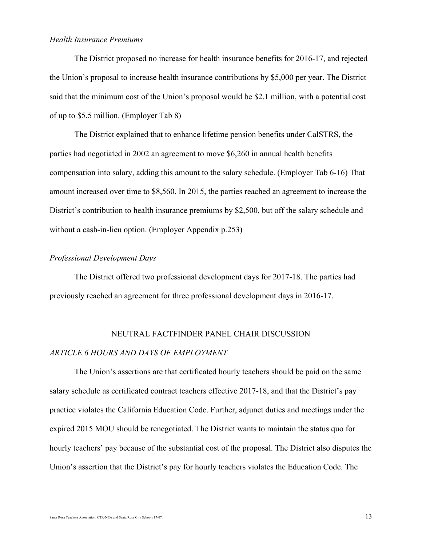#### *Health Insurance Premiums*

The District proposed no increase for health insurance benefits for 2016-17, and rejected the Union's proposal to increase health insurance contributions by \$5,000 per year. The District said that the minimum cost of the Union's proposal would be \$2.1 million, with a potential cost of up to \$5.5 million. (Employer Tab 8)

The District explained that to enhance lifetime pension benefits under CalSTRS, the parties had negotiated in 2002 an agreement to move \$6,260 in annual health benefits compensation into salary, adding this amount to the salary schedule. (Employer Tab 6-16) That amount increased over time to \$8,560. In 2015, the parties reached an agreement to increase the District's contribution to health insurance premiums by \$2,500, but off the salary schedule and without a cash-in-lieu option. (Employer Appendix p.253)

# *Professional Development Days*

The District offered two professional development days for 2017-18. The parties had previously reached an agreement for three professional development days in 2016-17.

## NEUTRAL FACTFINDER PANEL CHAIR DISCUSSION

## *ARTICLE 6 HOURS AND DAYS OF EMPLOYMENT*

The Union's assertions are that certificated hourly teachers should be paid on the same salary schedule as certificated contract teachers effective 2017-18, and that the District's pay practice violates the California Education Code. Further, adjunct duties and meetings under the expired 2015 MOU should be renegotiated. The District wants to maintain the status quo for hourly teachers' pay because of the substantial cost of the proposal. The District also disputes the Union's assertion that the District's pay for hourly teachers violates the Education Code. The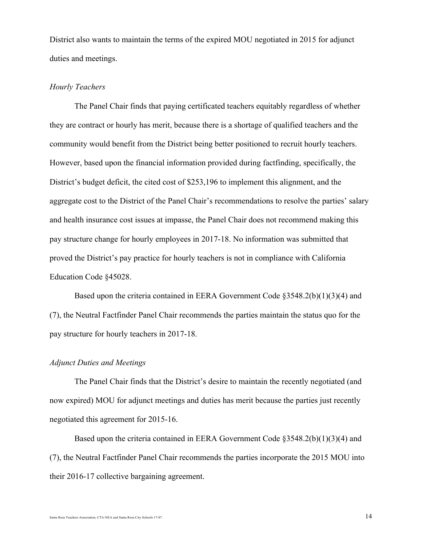District also wants to maintain the terms of the expired MOU negotiated in 2015 for adjunct duties and meetings.

## *Hourly Teachers*

The Panel Chair finds that paying certificated teachers equitably regardless of whether they are contract or hourly has merit, because there is a shortage of qualified teachers and the community would benefit from the District being better positioned to recruit hourly teachers. However, based upon the financial information provided during factfinding, specifically, the District's budget deficit, the cited cost of \$253,196 to implement this alignment, and the aggregate cost to the District of the Panel Chair's recommendations to resolve the parties' salary and health insurance cost issues at impasse, the Panel Chair does not recommend making this pay structure change for hourly employees in 2017-18. No information was submitted that proved the District's pay practice for hourly teachers is not in compliance with California Education Code §45028.

Based upon the criteria contained in EERA Government Code §3548.2(b)(1)(3)(4) and (7), the Neutral Factfinder Panel Chair recommends the parties maintain the status quo for the pay structure for hourly teachers in 2017-18.

#### *Adjunct Duties and Meetings*

The Panel Chair finds that the District's desire to maintain the recently negotiated (and now expired) MOU for adjunct meetings and duties has merit because the parties just recently negotiated this agreement for 2015-16.

Based upon the criteria contained in EERA Government Code §3548.2(b)(1)(3)(4) and (7), the Neutral Factfinder Panel Chair recommends the parties incorporate the 2015 MOU into their 2016-17 collective bargaining agreement.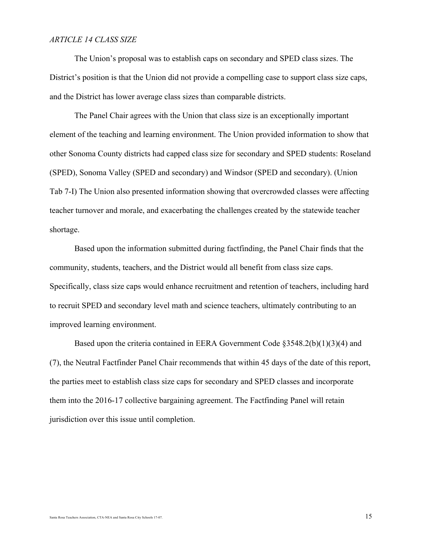#### *ARTICLE 14 CLASS SIZE*

The Union's proposal was to establish caps on secondary and SPED class sizes. The District's position is that the Union did not provide a compelling case to support class size caps, and the District has lower average class sizes than comparable districts.

The Panel Chair agrees with the Union that class size is an exceptionally important element of the teaching and learning environment. The Union provided information to show that other Sonoma County districts had capped class size for secondary and SPED students: Roseland (SPED), Sonoma Valley (SPED and secondary) and Windsor (SPED and secondary). (Union Tab 7-I) The Union also presented information showing that overcrowded classes were affecting teacher turnover and morale, and exacerbating the challenges created by the statewide teacher shortage.

Based upon the information submitted during factfinding, the Panel Chair finds that the community, students, teachers, and the District would all benefit from class size caps. Specifically, class size caps would enhance recruitment and retention of teachers, including hard to recruit SPED and secondary level math and science teachers, ultimately contributing to an improved learning environment.

Based upon the criteria contained in EERA Government Code §3548.2(b)(1)(3)(4) and (7), the Neutral Factfinder Panel Chair recommends that within 45 days of the date of this report, the parties meet to establish class size caps for secondary and SPED classes and incorporate them into the 2016-17 collective bargaining agreement. The Factfinding Panel will retain jurisdiction over this issue until completion.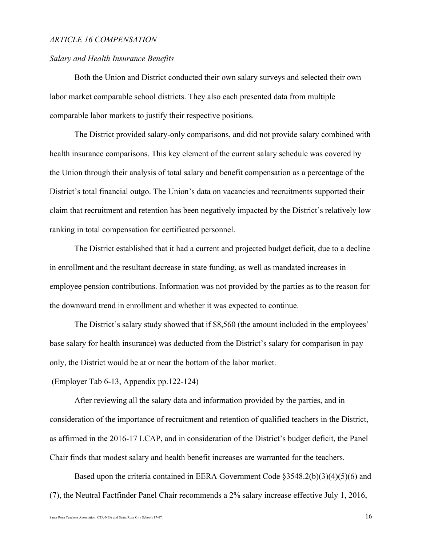#### *ARTICLE 16 COMPENSATION*

#### *Salary and Health Insurance Benefits*

Both the Union and District conducted their own salary surveys and selected their own labor market comparable school districts. They also each presented data from multiple comparable labor markets to justify their respective positions.

The District provided salary-only comparisons, and did not provide salary combined with health insurance comparisons. This key element of the current salary schedule was covered by the Union through their analysis of total salary and benefit compensation as a percentage of the District's total financial outgo. The Union's data on vacancies and recruitments supported their claim that recruitment and retention has been negatively impacted by the District's relatively low ranking in total compensation for certificated personnel.

The District established that it had a current and projected budget deficit, due to a decline in enrollment and the resultant decrease in state funding, as well as mandated increases in employee pension contributions. Information was not provided by the parties as to the reason for the downward trend in enrollment and whether it was expected to continue.

The District's salary study showed that if \$8,560 (the amount included in the employees' base salary for health insurance) was deducted from the District's salary for comparison in pay only, the District would be at or near the bottom of the labor market.

(Employer Tab 6-13, Appendix pp.122-124)

After reviewing all the salary data and information provided by the parties, and in consideration of the importance of recruitment and retention of qualified teachers in the District, as affirmed in the 2016-17 LCAP, and in consideration of the District's budget deficit, the Panel Chair finds that modest salary and health benefit increases are warranted for the teachers.

Based upon the criteria contained in EERA Government Code §3548.2(b)(3)(4)(5)(6) and (7), the Neutral Factfinder Panel Chair recommends a 2% salary increase effective July 1, 2016,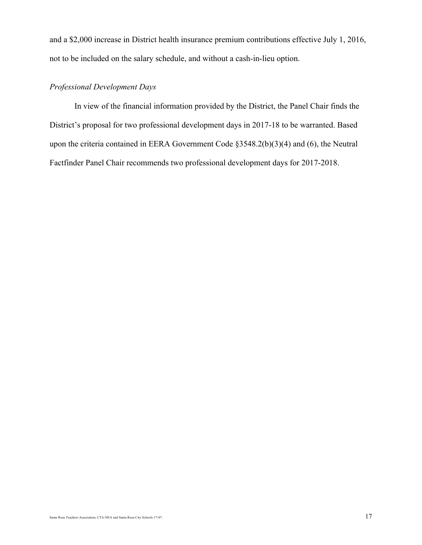and a \$2,000 increase in District health insurance premium contributions effective July 1, 2016, not to be included on the salary schedule, and without a cash-in-lieu option.

# *Professional Development Days*

In view of the financial information provided by the District, the Panel Chair finds the District's proposal for two professional development days in 2017-18 to be warranted. Based upon the criteria contained in EERA Government Code §3548.2(b)(3)(4) and (6), the Neutral Factfinder Panel Chair recommends two professional development days for 2017-2018.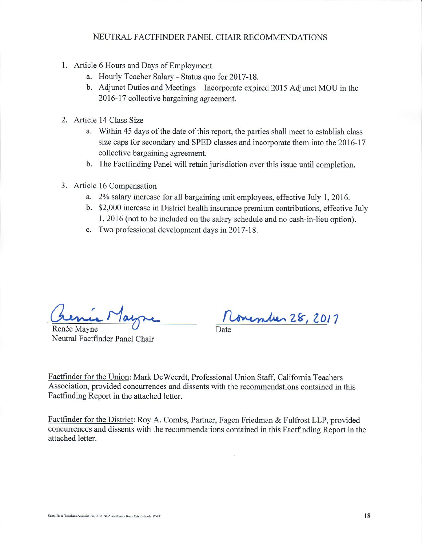#### NEUTRAL FACTFINDER PANEL CHAIR RECOMMENDATIONS

- 1. Article 6 Hours and Days of Employment
	- a. Hourly Teacher Salary Status quo for 2017-18.
	- b. Adjunct Duties and Meetings Incorporate expired 2015 Adjunct MOU in the 2016-17 collective bargaining agreement.
- 2. Article 14 Class Size
	- a. Within 45 days of the date of this report, the parties shall meet to establish class size caps for secondary and SPED classes and incorporate them into the 2016-17 collective bargaining agreement.
	- b. The Factfinding Panel will retain jurisdiction over this issue until completion.
- 3. Article 16 Compensation
	- a. 2% salary increase for all bargaining unit employees, effective July 1, 2016.
	- b. \$2,000 increase in District health insurance premium contributions, effective July 1, 2016 (not to be included on the salary schedule and no cash-in-lieu option).
	- c. Two professional development days in 2017-18.

Renée Mayne Neutral Factfinder Panel Chair

overaler 28, 2017

Factfinder for the Union: Mark DeWeerdt, Professional Union Staff, California Teachers Association, provided concurrences and dissents with the recommendations contained in this Factfinding Report in the attached letter.

Factfinder for the District: Roy A. Combs, Partner, Fagen Friedman & Fulfrost LLP, provided concurrences and dissents with the recommendations contained in this Factfinding Report in the attached letter.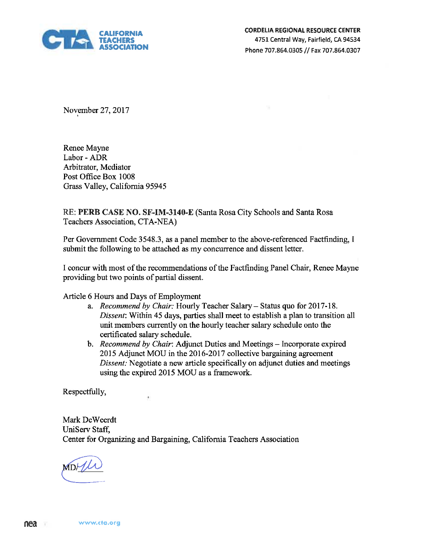

November 27, 2017

Renee Mayne Labor - ADR Arbitrator, Mediator Post Office Box 1008 Grass Valley, California 95945

# RE: PERB CASE NO. SF-IM-3140-E (Santa Rosa City Schools and Santa Rosa Teachers Association, CTA-NEA)

Per Government Code 3548.3, as a panel member to the above-referenced Factfinding, I submit the following to be attached as my concurrence and dissent letter.

I concur with most of the recommendations of the Factfinding Panel Chair, Renee Mayne providing but two points of partial dissent.

Article 6 Hours and Days of Employment

 $\mathcal{G}$ 

- a. Recommend by Chair: Hourly Teacher Salary- Status quo for 2017-18. Dissent: Within 45 days, parties shall meet to establish a plan to transition all unit members currently on the hourly teacher salary schedule onto the certificated salary schedule.
- b. *Recommend by Chair*: Adjunct Duties and Meetings Incorporate expired 2015 Adjunct MOU in the 2016-2017 collective bargaining agreement Dissent: Negotiate a new article specifically on adjunct duties and meetings using the expired 2015 MOU as a framework.

Respectfully,

Mark DeWeerdt UniServ Staff, Center for Organizing and Bargaining, California Teachers Association

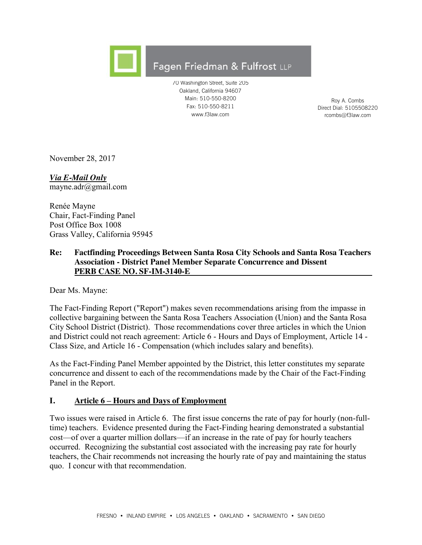

# Fagen Friedman & Fulfrost LLP

70 Washington Street, Suite 205 Oakland, California 94607 Main: 510-550-8200 Fax: 510-550-8211 www.f3law.com

Roy A. Combs Direct Dial: 5105508220 rcombs@f3law.com

November 28, 2017

*Via E-Mail Only* mayne.adr@gmail.com

Renée Mayne Chair, Fact-Finding Panel Post Office Box 1008 Grass Valley, California 95945

# **Re: Factfinding Proceedings Between Santa Rosa City Schools and Santa Rosa Teachers Association - District Panel Member Separate Concurrence and Dissent PERB CASE NO. SF-IM-3140-E**

Dear Ms. Mayne:

The Fact-Finding Report ("Report") makes seven recommendations arising from the impasse in collective bargaining between the Santa Rosa Teachers Association (Union) and the Santa Rosa City School District (District). Those recommendations cover three articles in which the Union and District could not reach agreement: Article 6 - Hours and Days of Employment, Article 14 - Class Size, and Article 16 - Compensation (which includes salary and benefits).

As the Fact-Finding Panel Member appointed by the District, this letter constitutes my separate concurrence and dissent to each of the recommendations made by the Chair of the Fact-Finding Panel in the Report.

# **I. Article 6 – Hours and Days of Employment**

Two issues were raised in Article 6. The first issue concerns the rate of pay for hourly (non-fulltime) teachers. Evidence presented during the Fact-Finding hearing demonstrated a substantial cost—of over a quarter million dollars—if an increase in the rate of pay for hourly teachers occurred. Recognizing the substantial cost associated with the increasing pay rate for hourly teachers, the Chair recommends not increasing the hourly rate of pay and maintaining the status quo. I concur with that recommendation.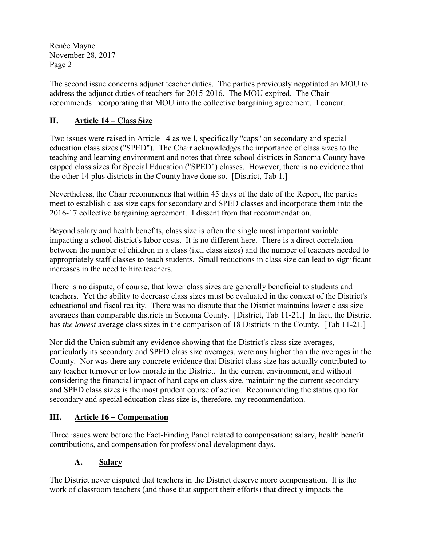The second issue concerns adjunct teacher duties. The parties previously negotiated an MOU to address the adjunct duties of teachers for 2015-2016. The MOU expired. The Chair recommends incorporating that MOU into the collective bargaining agreement. I concur.

# **II. Article 14 – Class Size**

Two issues were raised in Article 14 as well, specifically "caps" on secondary and special education class sizes ("SPED"). The Chair acknowledges the importance of class sizes to the teaching and learning environment and notes that three school districts in Sonoma County have capped class sizes for Special Education ("SPED") classes. However, there is no evidence that the other 14 plus districts in the County have done so. [District, Tab 1.]

Nevertheless, the Chair recommends that within 45 days of the date of the Report, the parties meet to establish class size caps for secondary and SPED classes and incorporate them into the 2016-17 collective bargaining agreement. I dissent from that recommendation.

Beyond salary and health benefits, class size is often the single most important variable impacting a school district's labor costs. It is no different here. There is a direct correlation between the number of children in a class (i.e., class sizes) and the number of teachers needed to appropriately staff classes to teach students. Small reductions in class size can lead to significant increases in the need to hire teachers.

There is no dispute, of course, that lower class sizes are generally beneficial to students and teachers. Yet the ability to decrease class sizes must be evaluated in the context of the District's educational and fiscal reality. There was no dispute that the District maintains lower class size averages than comparable districts in Sonoma County. [District, Tab 11-21.] In fact, the District has *the lowest* average class sizes in the comparison of 18 Districts in the County. [Tab 11-21.]

Nor did the Union submit any evidence showing that the District's class size averages, particularly its secondary and SPED class size averages, were any higher than the averages in the County. Nor was there any concrete evidence that District class size has actually contributed to any teacher turnover or low morale in the District. In the current environment, and without considering the financial impact of hard caps on class size, maintaining the current secondary and SPED class sizes is the most prudent course of action. Recommending the status quo for secondary and special education class size is, therefore, my recommendation.

# **III. Article 16 – Compensation**

Three issues were before the Fact-Finding Panel related to compensation: salary, health benefit contributions, and compensation for professional development days.

# **A. Salary**

The District never disputed that teachers in the District deserve more compensation. It is the work of classroom teachers (and those that support their efforts) that directly impacts the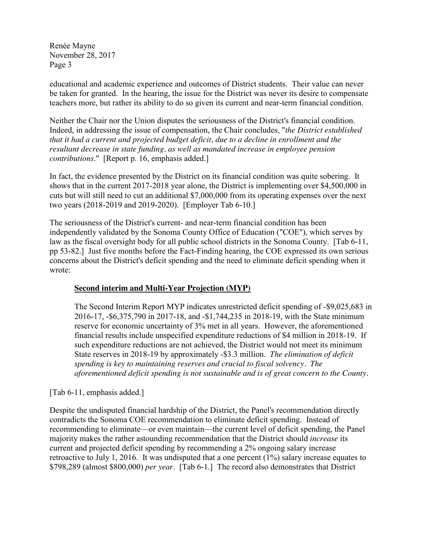educational and academic experience and outcomes of District students. Their value can never be taken for granted. In the hearing, the issue for the District was never its desire to compensate teachers more, but rather its ability to do so given its current and near-term financial condition.

Neither the Chair nor the Union disputes the seriousness of the District's financial condition. Indeed, in addressing the issue of compensation, the Chair concludes, "*the District established that it had a current and projected budget deficit, due to a decline in enrollment and the resultant decrease in state funding, as well as mandated increase in employee pension contributions*." [Report p. 16, emphasis added.]

In fact, the evidence presented by the District on its financial condition was quite sobering. It shows that in the current 2017-2018 year alone, the District is implementing over \$4,500,000 in cuts but will still need to cut an additional \$7,000,000 from its operating expenses over the next two years (2018-2019 and 2019-2020). [Employer Tab 6-10.]

The seriousness of the District's current- and near-term financial condition has been independently validated by the Sonoma County Office of Education ("COE"), which serves by law as the fiscal oversight body for all public school districts in the Sonoma County. [Tab 6-11, pp 53-82.] Just five months before the Fact-Finding hearing, the COE expressed its own serious concerns about the District's deficit spending and the need to eliminate deficit spending when it wrote:

# **Second interim and Multi-Year Projection (MYP)**

The Second Interim Report MYP indicates unrestricted deficit spending of -\$9,025,683 in 2016-17, -\$6,375,790 in 2017-18, and -\$1,744,235 in 2018-19, with the State minimum reserve for economic uncertainty of 3% met in all years. However, the aforementioned financial results include unspecified expenditure reductions of \$4 million in 2018-19. If such expenditure reductions are not achieved, the District would not meet its minimum State reserves in 2018-19 by approximately -\$3.3 million. *The elimination of deficit spending is key to maintaining reserves and crucial to fiscal solvency. The aforementioned deficit spending is not sustainable and is of great concern to the County.*

[Tab 6-11, emphasis added.]

Despite the undisputed financial hardship of the District, the Panel's recommendation directly contradicts the Sonoma COE recommendation to eliminate deficit spending. Instead of recommending to eliminate—or even maintain—the current level of deficit spending, the Panel majority makes the rather astounding recommendation that the District should *increase* its current and projected deficit spending by recommending a 2% ongoing salary increase retroactive to July 1, 2016. It was undisputed that a one percent (1%) salary increase equates to \$798,289 (almost \$800,000) *per year*. [Tab 6-1.] The record also demonstrates that District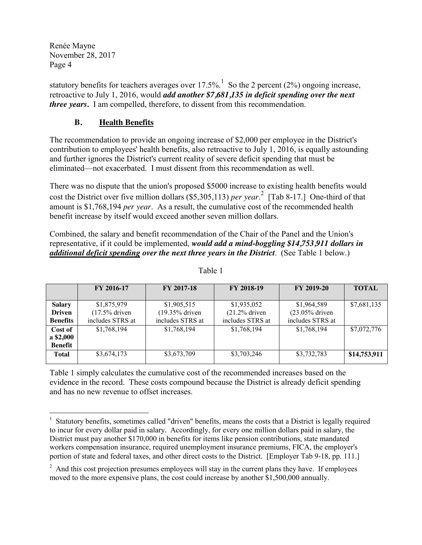statutory benefits for teachers averages over 17.5%.<sup>1</sup> So the 2 percent (2%) ongoing increase, retroactive to July 1, 2016, would *add another \$7,681,135 in deficit spending over the next three years.* I am compelled, therefore, to dissent from this recommendation.

# **B. Health Benefits**

The recommendation to provide an ongoing increase of \$2,000 per employee in the District's contribution to employees' health benefits, also retroactive to July 1, 2016, is equally astounding and further ignores the District's current reality of severe deficit spending that must be eliminated—not exacerbated. I must dissent from this recommendation as well.

There was no dispute that the union's proposed \$5000 increase to existing health benefits would cost the District over five million dollars (\$5,305,113) *per year*. 2 [Tab 8-17.] One-third of that amount is \$1,768,194 *per year*. As a result, the cumulative cost of the recommended health benefit increase by itself would exceed another seven million dollars.

Combined, the salary and benefit recommendation of the Chair of the Panel and the Union's representative, if it could be implemented, *would add a mind-boggling \$14,753,911 dollars in additional deficit spending over the next three years in the District*. (See Table 1 below.)

|                 | FY 2016-17       | <b>FY 2017-18</b> | FY 2018-19       | FY 2019-20        | <b>TOTAL</b> |
|-----------------|------------------|-------------------|------------------|-------------------|--------------|
|                 |                  |                   |                  |                   |              |
| <b>Salary</b>   | \$1,875,979      | \$1,905,515       | \$1,935,052      | \$1,964,589       | \$7,681,135  |
| <b>Driven</b>   | $(17.5\%$ driven | (19.35% driven    | $(21.2\%$ driven | $(23.05\%$ driven |              |
| <b>Benefits</b> | includes STRS at | includes STRS at  | includes STRS at | includes STRS at  |              |
| Cost of         | \$1,768,194      | \$1,768,194       | \$1,768,194      | \$1,768,194       | \$7,072,776  |
| a \$2,000       |                  |                   |                  |                   |              |
| <b>Benefit</b>  |                  |                   |                  |                   |              |
| <b>Total</b>    | \$3,674,173      | \$3,673,709       | \$3,703,246      | \$3,732,783       | \$14,753,911 |
|                 |                  |                   |                  |                   |              |

Table 1

Table 1 simply calculates the cumulative cost of the recommended increases based on the evidence in the record. These costs compound because the District is already deficit spending and has no new revenue to offset increases.

 $\frac{1}{1}$ <sup>1</sup> Statutory benefits, sometimes called "driven" benefits, means the costs that a District is legally required to incur for every dollar paid in salary. Accordingly, for every one million dollars paid in salary, the District must pay another \$170,000 in benefits for items like pension contributions, state mandated workers compensation insurance, required unemployment insurance premiums, FICA, the employer's portion of state and federal taxes, and other direct costs to the District. [Employer Tab 9-18, pp. 111.]

 $2$  And this cost projection presumes employees will stay in the current plans they have. If employees moved to the more expensive plans, the cost could increase by another \$1,500,000 annually.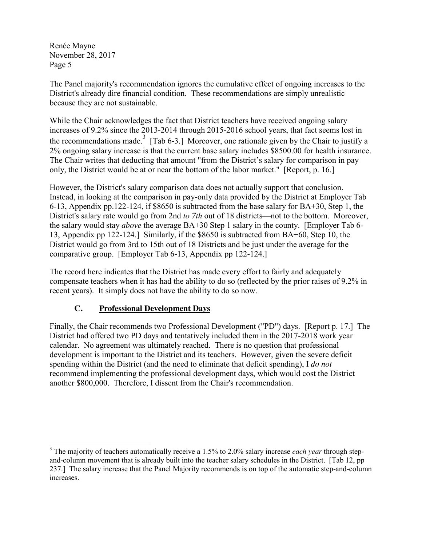The Panel majority's recommendation ignores the cumulative effect of ongoing increases to the District's already dire financial condition. These recommendations are simply unrealistic because they are not sustainable.

While the Chair acknowledges the fact that District teachers have received ongoing salary increases of 9.2% since the 2013-2014 through 2015-2016 school years, that fact seems lost in the recommendations made.<sup>3</sup> [Tab 6-3.] Moreover, one rationale given by the Chair to justify a 2% ongoing salary increase is that the current base salary includes \$8500.00 for health insurance. The Chair writes that deducting that amount "from the District's salary for comparison in pay only, the District would be at or near the bottom of the labor market." [Report, p. 16.]

However, the District's salary comparison data does not actually support that conclusion. Instead, in looking at the comparison in pay-only data provided by the District at Employer Tab 6-13, Appendix pp.122-124, if \$8650 is subtracted from the base salary for BA+30, Step 1, the District's salary rate would go from 2nd *to 7th* out of 18 districts—not to the bottom. Moreover, the salary would stay *above* the average BA+30 Step 1 salary in the county. [Employer Tab 6- 13, Appendix pp 122-124.] Similarly, if the \$8650 is subtracted from BA+60, Step 10, the District would go from 3rd to 15th out of 18 Districts and be just under the average for the comparative group. [Employer Tab 6-13, Appendix pp 122-124.]

The record here indicates that the District has made every effort to fairly and adequately compensate teachers when it has had the ability to do so (reflected by the prior raises of 9.2% in recent years). It simply does not have the ability to do so now.

# **C. Professional Development Days**

Finally, the Chair recommends two Professional Development ("PD") days. [Report p. 17.] The District had offered two PD days and tentatively included them in the 2017-2018 work year calendar. No agreement was ultimately reached. There is no question that professional development is important to the District and its teachers. However, given the severe deficit spending within the District (and the need to eliminate that deficit spending), I *do not* recommend implementing the professional development days, which would cost the District another \$800,000. Therefore, I dissent from the Chair's recommendation.

 <sup>3</sup> The majority of teachers automatically receive a 1.5% to 2.0% salary increase *each year* through stepand-column movement that is already built into the teacher salary schedules in the District. [Tab 12, pp 237.] The salary increase that the Panel Majority recommends is on top of the automatic step-and-column increases.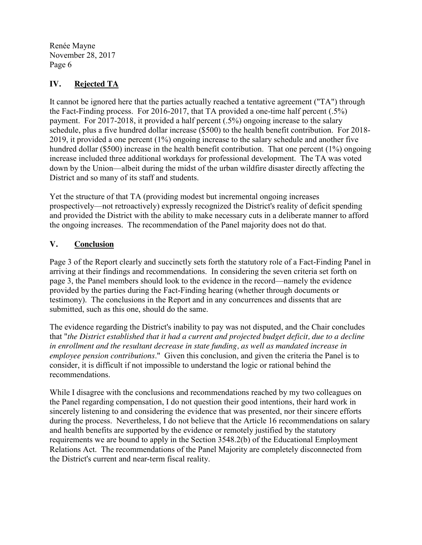# **IV. Rejected TA**

It cannot be ignored here that the parties actually reached a tentative agreement ("TA") through the Fact-Finding process. For 2016-2017, that TA provided a one-time half percent (.5%) payment. For 2017-2018, it provided a half percent (.5%) ongoing increase to the salary schedule, plus a five hundred dollar increase (\$500) to the health benefit contribution. For 2018- 2019, it provided a one percent (1%) ongoing increase to the salary schedule and another five hundred dollar (\$500) increase in the health benefit contribution. That one percent (1%) ongoing increase included three additional workdays for professional development. The TA was voted down by the Union—albeit during the midst of the urban wildfire disaster directly affecting the District and so many of its staff and students.

Yet the structure of that TA (providing modest but incremental ongoing increases prospectively—not retroactively) expressly recognized the District's reality of deficit spending and provided the District with the ability to make necessary cuts in a deliberate manner to afford the ongoing increases. The recommendation of the Panel majority does not do that.

# **V. Conclusion**

Page 3 of the Report clearly and succinctly sets forth the statutory role of a Fact-Finding Panel in arriving at their findings and recommendations. In considering the seven criteria set forth on page 3, the Panel members should look to the evidence in the record—namely the evidence provided by the parties during the Fact-Finding hearing (whether through documents or testimony). The conclusions in the Report and in any concurrences and dissents that are submitted, such as this one, should do the same.

The evidence regarding the District's inability to pay was not disputed, and the Chair concludes that "*the District established that it had a current and projected budget deficit, due to a decline in enrollment and the resultant decrease in state funding, as well as mandated increase in employee pension contributions*." Given this conclusion, and given the criteria the Panel is to consider, it is difficult if not impossible to understand the logic or rational behind the recommendations.

While I disagree with the conclusions and recommendations reached by my two colleagues on the Panel regarding compensation, I do not question their good intentions, their hard work in sincerely listening to and considering the evidence that was presented, nor their sincere efforts during the process. Nevertheless, I do not believe that the Article 16 recommendations on salary and health benefits are supported by the evidence or remotely justified by the statutory requirements we are bound to apply in the Section 3548.2(b) of the Educational Employment Relations Act. The recommendations of the Panel Majority are completely disconnected from the District's current and near-term fiscal reality.